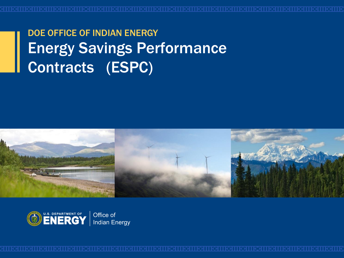### DOE OFFICE OF INDIAN ENERGY Energy Savings Performance Contracts (ESPC)



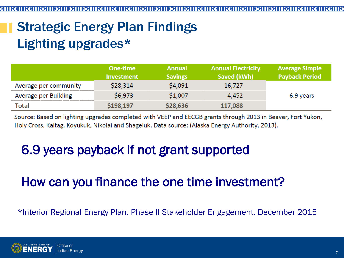# Strategic Energy Plan Findings Lighting upgrades\*

|                       | One-time<br><b>Investment</b> | <b>Annual</b><br><b>Savings</b> | <b>Annual Electricity</b><br>Saved (kWh) | <b>Average Simple</b><br><b>Payback Period</b> |
|-----------------------|-------------------------------|---------------------------------|------------------------------------------|------------------------------------------------|
| Average per community | \$28,314                      | \$4,091                         | 16,727                                   |                                                |
| Average per Building  | \$6,973                       | \$1,007                         | 4,452                                    | 6.9 years                                      |
| <b>Total</b>          | \$198,197                     | \$28,636                        | 117,088                                  |                                                |

Source: Based on lighting upgrades completed with VEEP and EECGB grants through 2013 in Beaver, Fort Yukon, Holy Cross, Kaltag, Koyukuk, Nikolai and Shageluk. Data source: (Alaska Energy Authority, 2013).

### 6.9 years payback if not grant supported

#### How can you finance the one time investment?

\*Interior Regional Energy Plan. Phase II Stakeholder Engagement. December 2015

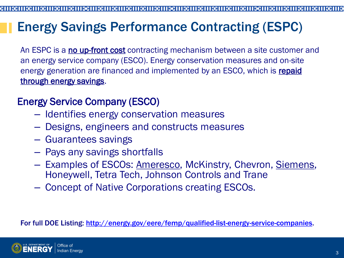#### Energy Savings Performance Contracting (ESPC)

An ESPC is a no up-front cost contracting mechanism between a site customer and an energy service company (ESCO). Energy conservation measures and on-site energy generation are financed and implemented by an ESCO, which is repaid through energy savings.

#### Energy Service Company (ESCO)

- Identifies energy conservation measures
- Designs, engineers and constructs measures
- Guarantees savings
- Pays any savings shortfalls
- Examples of ESCOs: Ameresco, McKinstry, Chevron, Siemens, Honeywell, Tetra Tech, Johnson Controls and Trane
- Concept of Native Corporations creating ESCOs.

For full DOE Listing: [http://energy.gov/eere/femp/qualified-list-energy-service-companies.](http://energy.gov/eere/femp/qualified-list-energy-service-companies)

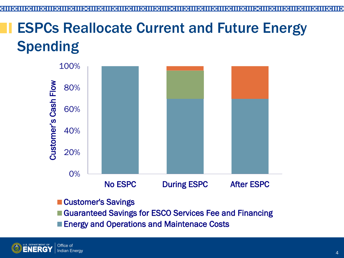# ESPCs Reallocate Current and Future Energy Spending



- Customer's Savings
- Guaranteed Savings for ESCO Services Fee and Financing
- **Energy and Operations and Maintenace Costs**

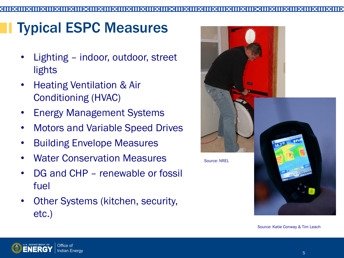# Typical ESPC Measures

- Lighting indoor, outdoor, street lights
- Heating Ventilation & Air Conditioning (HVAC)
- Energy Management Systems
- Motors and Variable Speed Drives
- Building Envelope Measures
- Water Conservation Measures
- DG and CHP renewable or fossil fuel
- Other Systems (kitchen, security, etc.)



Source: Katie Conway & Tim Leach